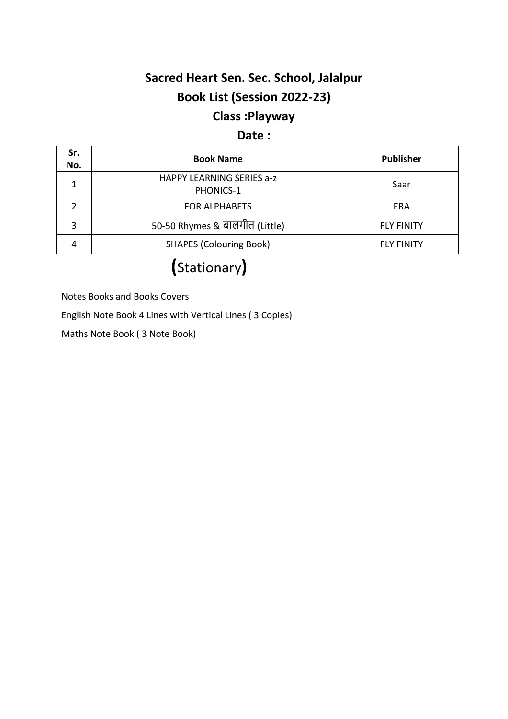## **Sacred Heart Sen. Sec. School, Jalalpur Book List (Session 2022-23) Class :Playway**

#### **Date :**

| Sr.<br>No. | <b>Book Name</b>                              | <b>Publisher</b>  |
|------------|-----------------------------------------------|-------------------|
| 1          | <b>HAPPY LEARNING SERIES a-z</b><br>PHONICS-1 | Saar              |
|            | <b>FOR ALPHABETS</b>                          | ERA               |
| 3          | 50-50 Rhymes & बालगीत (Little)                | <b>FLY FINITY</b> |
|            | <b>SHAPES (Colouring Book)</b>                | <b>FLY FINITY</b> |

# **(**Stationary**)**

Notes Books and Books Covers

English Note Book 4 Lines with Vertical Lines ( 3 Copies)

Maths Note Book ( 3 Note Book)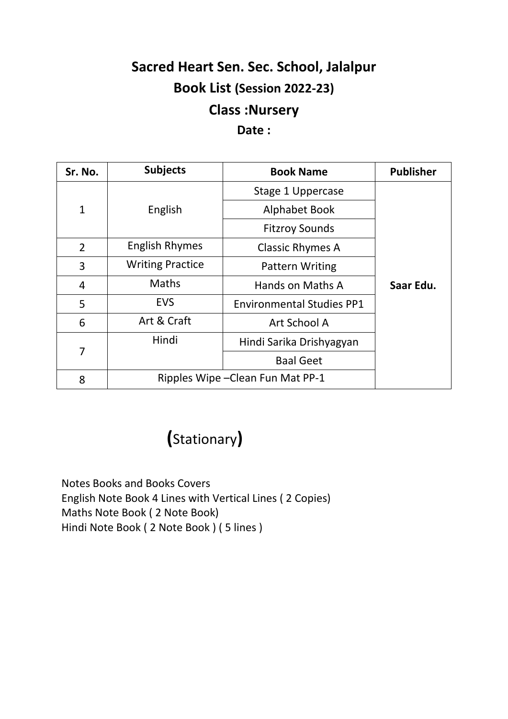# **Sacred Heart Sen. Sec. School, Jalalpur Book List (Session 2022-23) Class :Nursery**

#### **Date :**

| Sr. No.        | <b>Subjects</b>                   | <b>Book Name</b>                 | <b>Publisher</b> |
|----------------|-----------------------------------|----------------------------------|------------------|
|                |                                   | Stage 1 Uppercase                |                  |
| $\mathbf{1}$   | English                           | <b>Alphabet Book</b>             |                  |
|                |                                   | <b>Fitzroy Sounds</b>            |                  |
| $\overline{2}$ | <b>English Rhymes</b>             | <b>Classic Rhymes A</b>          |                  |
| 3              | <b>Writing Practice</b>           | <b>Pattern Writing</b>           |                  |
| $\overline{4}$ | <b>Maths</b>                      | Hands on Maths A                 | Saar Edu.        |
| 5              | <b>EVS</b>                        | <b>Environmental Studies PP1</b> |                  |
| 6              | Art & Craft                       | Art School A                     |                  |
| 7              | Hindi                             | Hindi Sarika Drishyagyan         |                  |
|                |                                   | <b>Baal Geet</b>                 |                  |
| 8              | Ripples Wipe – Clean Fun Mat PP-1 |                                  |                  |

 **(**Stationary**)**

Notes Books and Books Covers English Note Book 4 Lines with Vertical Lines ( 2 Copies) Maths Note Book ( 2 Note Book) Hindi Note Book ( 2 Note Book ) ( 5 lines )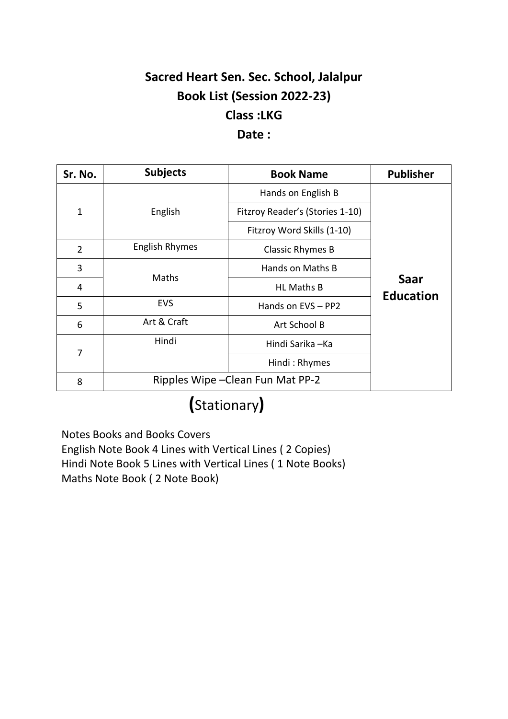## **Sacred Heart Sen. Sec. School, Jalalpur Book List (Session 2022-23) Class :LKG Date :**

#### **Sr. No. Subjects Book Name Publisher** 1 English Hands on English B **Saar Education** Fitzroy Reader's (Stories 1-10) Fitzroy Word Skills (1-10) 2 English Rhymes | Classic Rhymes B 3 Maths Hands on Maths B 4 HL Maths B 5 EVS | Hands on EVS – PP2 6 Art & Craft Art School B 7 Hindi Hindi Sarika –Ka Hindi : Rhymes 8 | Ripples Wipe – Clean Fun Mat PP-2

# **(**Stationary**)**

Notes Books and Books Covers English Note Book 4 Lines with Vertical Lines ( 2 Copies) Hindi Note Book 5 Lines with Vertical Lines ( 1 Note Books) Maths Note Book ( 2 Note Book)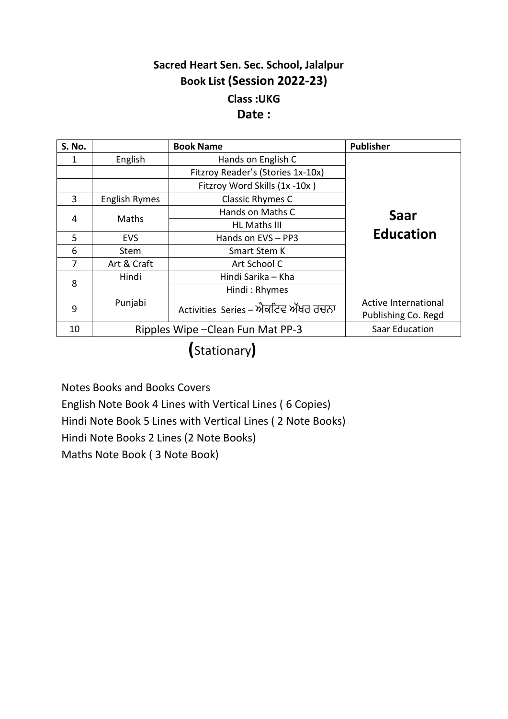### **Sacred Heart Sen. Sec. School, Jalalpur Book List (Session 2022-23) Class :UKG Date :**

| <b>S. No.</b> |               | <b>Book Name</b>                    | <b>Publisher</b>     |
|---------------|---------------|-------------------------------------|----------------------|
| 1             | English       | Hands on English C                  |                      |
|               |               | Fitzroy Reader's (Stories 1x-10x)   |                      |
|               |               | Fitzroy Word Skills (1x -10x)       |                      |
| 3             | English Rymes | <b>Classic Rhymes C</b>             |                      |
| 4             |               | Hands on Maths C                    | Saar                 |
|               |               | <b>Maths</b><br><b>HL Maths III</b> |                      |
| 5             | <b>EVS</b>    | Hands on EVS - PP3                  | <b>Education</b>     |
| 6             | Stem          | <b>Smart Stem K</b>                 |                      |
| 7             | Art & Craft   | Art School C                        |                      |
| 8             | Hindi         | Hindi Sarika – Kha                  |                      |
|               |               | Hindi: Rhymes                       |                      |
| 9             | Punjabi       | Activities Series – ਐਕਟਿਵ ਅੱਖਰ ਰਚਨਾ | Active International |
|               |               |                                     | Publishing Co. Regd  |
| 10            |               | Ripples Wipe - Clean Fun Mat PP-3   | Saar Education       |

**(**Stationary**)**

Notes Books and Books Covers English Note Book 4 Lines with Vertical Lines ( 6 Copies) Hindi Note Book 5 Lines with Vertical Lines ( 2 Note Books) Hindi Note Books 2 Lines (2 Note Books) Maths Note Book ( 3 Note Book)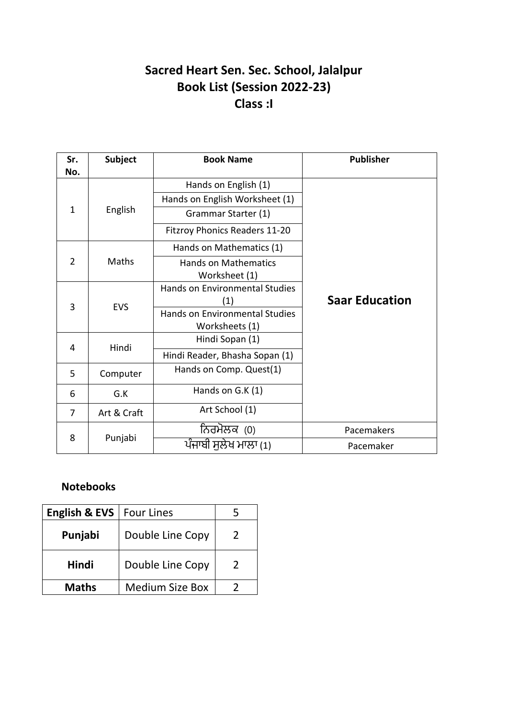### **Sacred Heart Sen. Sec. School, Jalalpur Book List (Session 2022-23) Class :I**

| Sr.<br>No.     | <b>Subject</b> | <b>Book Name</b>                             | <b>Publisher</b>      |
|----------------|----------------|----------------------------------------------|-----------------------|
|                |                | Hands on English (1)                         |                       |
|                |                | Hands on English Worksheet (1)               |                       |
| $\mathbf{1}$   | English        | Grammar Starter (1)                          |                       |
|                |                | <b>Fitzroy Phonics Readers 11-20</b>         |                       |
|                |                | Hands on Mathematics (1)                     |                       |
| 2              | Maths          | <b>Hands on Mathematics</b><br>Worksheet (1) |                       |
| 3              | <b>EVS</b>     | <b>Hands on Environmental Studies</b><br>(1) | <b>Saar Education</b> |
|                |                | <b>Hands on Environmental Studies</b>        |                       |
|                |                | Worksheets (1)                               |                       |
| 4              | Hindi          | Hindi Sopan (1)                              |                       |
|                |                | Hindi Reader, Bhasha Sopan (1)               |                       |
| 5              | Computer       | Hands on Comp. Quest(1)                      |                       |
| 6              | G.K            | Hands on $G.K(1)$                            |                       |
| $\overline{7}$ | Art & Craft    | Art School (1)                               |                       |
|                |                | ਨਿਰਮੋਲਕ (0)                                  | Pacemakers            |
| 8              | Punjabi        | ਪੰਜਾਬੀ ਸਲੇਖ ਮਾਲਾ (1)                         | Pacemaker             |

#### **Notebooks**

| <b>English &amp; EVS</b> | <b>Four Lines</b>      |               |
|--------------------------|------------------------|---------------|
| Punjabi                  | Double Line Copy       | $\mathcal{L}$ |
| <b>Hindi</b>             | Double Line Copy       | $\mathcal{P}$ |
| <b>Maths</b>             | <b>Medium Size Box</b> |               |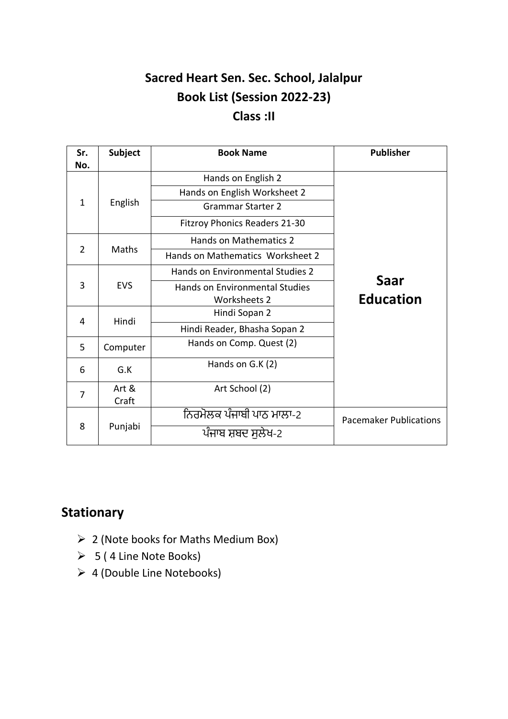## **Sacred Heart Sen. Sec. School, Jalalpur Book List (Session 2022-23) Class :II**

| Sr.<br>No.     | <b>Subject</b> | <b>Book Name</b>                      | <b>Publisher</b>              |
|----------------|----------------|---------------------------------------|-------------------------------|
|                |                | Hands on English 2                    |                               |
|                |                | Hands on English Worksheet 2          |                               |
| $\mathbf{1}$   | English        | <b>Grammar Starter 2</b>              |                               |
|                |                | <b>Fitzroy Phonics Readers 21-30</b>  |                               |
|                |                | Hands on Mathematics 2                |                               |
| 2              | Maths          | Hands on Mathematics Worksheet 2      |                               |
|                |                | Hands on Environmental Studies 2      |                               |
| 3              | <b>EVS</b>     | <b>Hands on Environmental Studies</b> | Saar                          |
|                |                | <b>Worksheets 2</b>                   | <b>Education</b>              |
| 4              | Hindi          | Hindi Sopan 2                         |                               |
|                |                | Hindi Reader, Bhasha Sopan 2          |                               |
| 5              | Computer       | Hands on Comp. Quest (2)              |                               |
| 6              | G.K            | Hands on G.K (2)                      |                               |
| $\overline{7}$ | Art &          | Art School (2)                        |                               |
|                | Craft          |                                       |                               |
| 8              |                | ਨਿਰਮੋਲਕ ਪੰਜਾਬੀ ਪਾਠ ਮਾਲਾ-2             | <b>Pacemaker Publications</b> |
|                | Punjabi        | ਪੰਜਾਬ ਸ਼ਬਦ ਸਲੇਖ-2                     |                               |

### **Stationary**

- ➢ 2 (Note books for Maths Medium Box)
- $> 5$  (4 Line Note Books)
- ➢ 4 (Double Line Notebooks)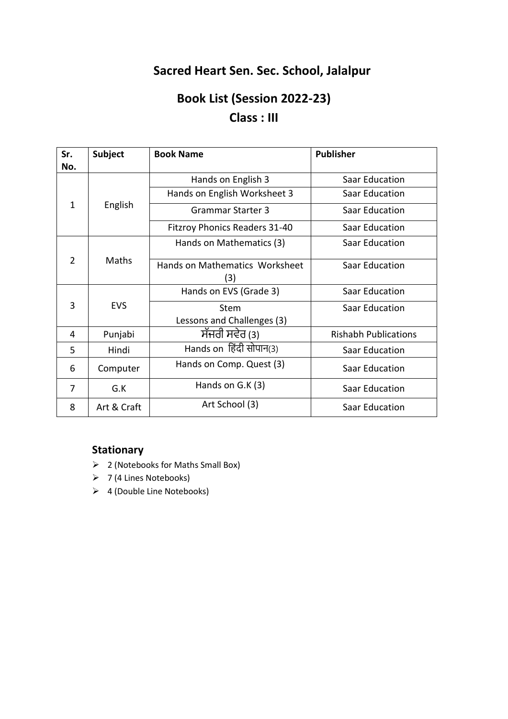### **Sacred Heart Sen. Sec. School, Jalalpur**

## **Book List (Session 2022-23) Class : III**

| Sr.<br>No.     | <b>Subject</b> | <b>Book Name</b>                          | <b>Publisher</b>            |
|----------------|----------------|-------------------------------------------|-----------------------------|
|                |                | Hands on English 3                        | Saar Education              |
|                |                | Hands on English Worksheet 3              | Saar Education              |
| $\mathbf{1}$   | English        | <b>Grammar Starter 3</b>                  | <b>Saar Education</b>       |
|                |                | <b>Fitzroy Phonics Readers 31-40</b>      | Saar Education              |
|                |                | Hands on Mathematics (3)                  | <b>Saar Education</b>       |
| $\overline{2}$ | Maths          | Hands on Mathematics Worksheet<br>(3)     | Saar Education              |
|                |                | Hands on EVS (Grade 3)                    | <b>Saar Education</b>       |
| 3              | <b>EVS</b>     | <b>Stem</b><br>Lessons and Challenges (3) | Saar Education              |
| 4              | Punjabi        | ਸੱਜਰੀ ਸਵੇਰ (3)                            | <b>Rishabh Publications</b> |
| 5              | Hindi          | Hands on हिंदी सोपान(3)                   | <b>Saar Education</b>       |
| 6              | Computer       | Hands on Comp. Quest (3)                  | <b>Saar Education</b>       |
| 7              | G.K            | Hands on $G.K(3)$                         | <b>Saar Education</b>       |
| 8              | Art & Craft    | Art School (3)                            | Saar Education              |

#### **Stationary**

- ➢ 2 (Notebooks for Maths Small Box)
- ➢ 7 (4 Lines Notebooks)
- ➢ 4 (Double Line Notebooks)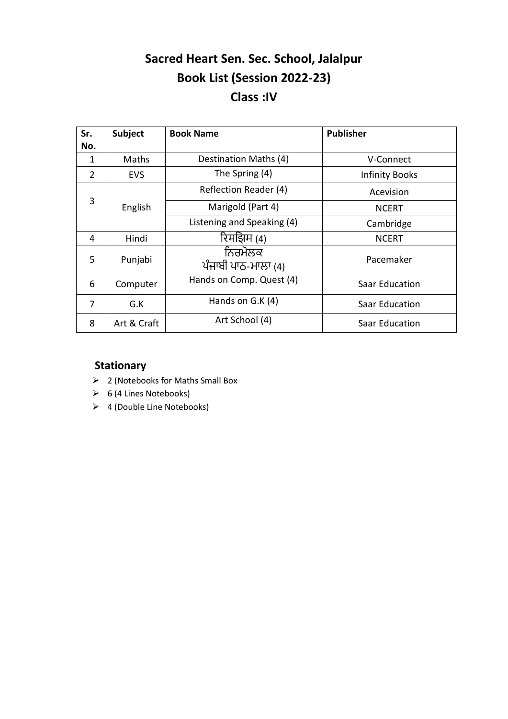### **Sacred Heart Sen. Sec. School, Jalalpur Book List (Session 2022-23) Class :IV**

| Sr.            | <b>Subject</b> | <b>Book Name</b>               | <b>Publisher</b>      |
|----------------|----------------|--------------------------------|-----------------------|
| No.            |                |                                |                       |
| 1              | Maths          | Destination Maths (4)          | V-Connect             |
| $\overline{2}$ | <b>EVS</b>     | The Spring (4)                 | <b>Infinity Books</b> |
|                |                | Reflection Reader (4)          | Acevision             |
| 3              | English        | Marigold (Part 4)              | <b>NCERT</b>          |
|                |                | Listening and Speaking (4)     | Cambridge             |
| 4              | Hindi          | रिमझिम (4)                     | <b>NCERT</b>          |
| 5              | Punjabi        | ਨਿਰਮੋਲਕ<br>ਪੰਜਾਬੀ ਪਾਠ-ਮਾਲਾ (4) | Pacemaker             |
| 6              | Computer       | Hands on Comp. Quest (4)       | Saar Education        |
| 7              | G.K            | Hands on G.K (4)               | Saar Education        |
| 8              | Art & Craft    | Art School (4)                 | Saar Education        |

#### **Stationary**

- ➢ 2 (Notebooks for Maths Small Box
- $\triangleright$  6 (4 Lines Notebooks)
- ➢ 4 (Double Line Notebooks)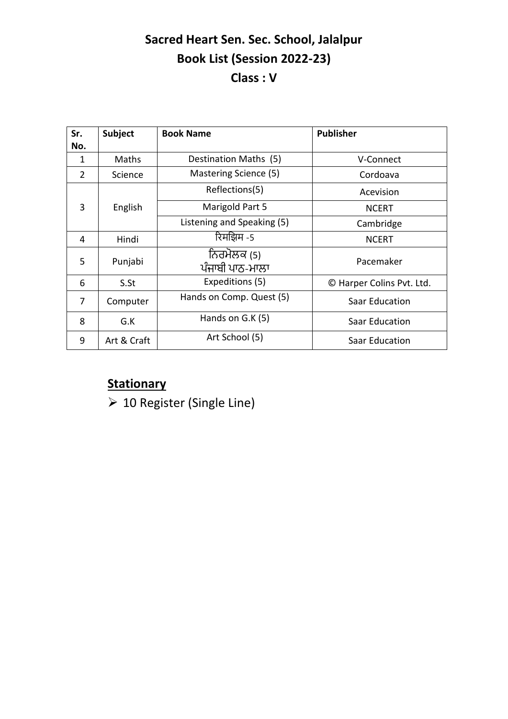## **Sacred Heart Sen. Sec. School, Jalalpur Book List (Session 2022-23) Class : V**

| Sr.<br>No. | Subject     | <b>Book Name</b>               | <b>Publisher</b>          |
|------------|-------------|--------------------------------|---------------------------|
| 1          | Maths       | Destination Maths (5)          | V-Connect                 |
| 2          | Science     | Mastering Science (5)          | Cordoava                  |
|            |             | Reflections(5)                 | Acevision                 |
| 3          | English     | Marigold Part 5                | <b>NCERT</b>              |
|            |             | Listening and Speaking (5)     | Cambridge                 |
| 4          | Hindi       | रिमझिम -5                      | <b>NCERT</b>              |
| 5          | Punjabi     | ਨਿਰਮੋਲਕ (5)<br>ਪੰਜਾਬੀ ਪਾਠ-ਮਾਲਾ | Pacemaker                 |
| 6          | S.St        | Expeditions (5)                | © Harper Colins Pvt. Ltd. |
| 7          | Computer    | Hands on Comp. Quest (5)       | <b>Saar Education</b>     |
| 8          | G.K         | Hands on G.K (5)               | <b>Saar Education</b>     |
| 9          | Art & Craft | Art School (5)                 | <b>Saar Education</b>     |

### **Stationary**

➢ 10 Register (Single Line)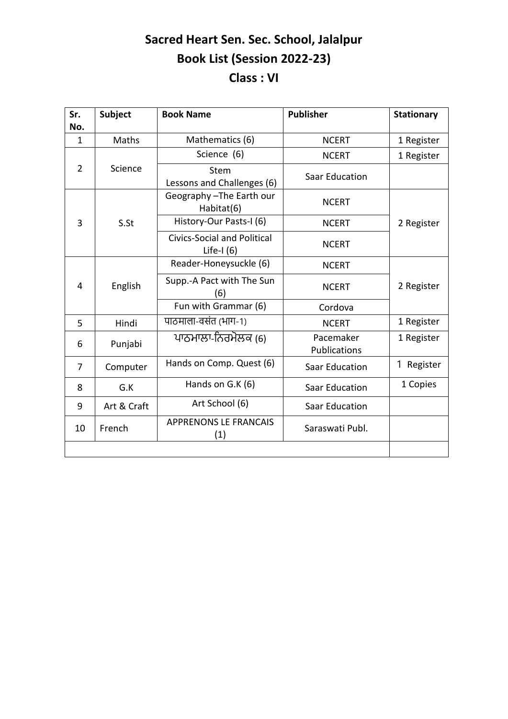## **Sacred Heart Sen. Sec. School, Jalalpur Book List (Session 2022-23) Class : VI**

| Sr.<br>No.     | <b>Subject</b> | <b>Book Name</b>                                   | <b>Publisher</b>                 | <b>Stationary</b> |
|----------------|----------------|----------------------------------------------------|----------------------------------|-------------------|
| $\mathbf{1}$   | Maths          | Mathematics (6)                                    | <b>NCERT</b>                     | 1 Register        |
|                |                | Science (6)                                        | <b>NCERT</b>                     | 1 Register        |
| $\overline{2}$ | Science        | Stem<br>Lessons and Challenges (6)                 | <b>Saar Education</b>            |                   |
|                |                | Geography-The Earth our<br>Habitat(6)              | <b>NCERT</b>                     |                   |
| 3              | S.St           | History-Our Pasts-I (6)                            | <b>NCERT</b>                     | 2 Register        |
|                |                | <b>Civics-Social and Political</b><br>Life-I $(6)$ | <b>NCERT</b>                     |                   |
|                |                | Reader-Honeysuckle (6)                             | <b>NCERT</b>                     |                   |
| 4              | English        | Supp.-A Pact with The Sun<br>(6)                   | <b>NCERT</b>                     | 2 Register        |
|                |                | Fun with Grammar (6)                               | Cordova                          |                   |
| 5              | Hindi          | पाठमाला-वसंत (भाग-1)                               | <b>NCERT</b>                     | 1 Register        |
| 6              | Punjabi        | ਪਾਠਮਾਲਾ-ਨਿਰਮੋਲਕ (6)                                | Pacemaker<br><b>Publications</b> | 1 Register        |
| $\overline{7}$ | Computer       | Hands on Comp. Quest (6)                           | <b>Saar Education</b>            | Register          |
| 8              | G.K            | Hands on G.K (6)                                   | <b>Saar Education</b>            | 1 Copies          |
| 9              | Art & Craft    | Art School (6)                                     | <b>Saar Education</b>            |                   |
| 10             | French         | <b>APPRENONS LE FRANCAIS</b><br>(1)                | Saraswati Publ.                  |                   |
|                |                |                                                    |                                  |                   |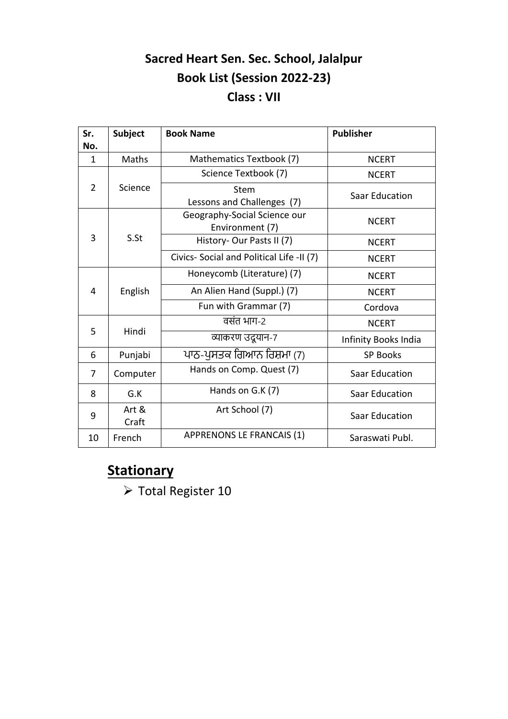## **Sacred Heart Sen. Sec. School, Jalalpur Book List (Session 2022-23) Class : VII**

| Sr.            | <b>Subject</b> | <b>Book Name</b>                                | <b>Publisher</b>      |
|----------------|----------------|-------------------------------------------------|-----------------------|
| No.            |                |                                                 |                       |
| 1              | Maths          | Mathematics Textbook (7)                        | <b>NCERT</b>          |
|                |                | Science Textbook (7)                            | <b>NCERT</b>          |
| $\overline{2}$ | Science        | <b>Stem</b><br>Lessons and Challenges (7)       | <b>Saar Education</b> |
|                |                | Geography-Social Science our<br>Environment (7) | <b>NCERT</b>          |
| 3              | S.St           | History- Our Pasts II (7)                       | <b>NCERT</b>          |
|                |                | Civics- Social and Political Life -II (7)       | <b>NCERT</b>          |
|                |                | Honeycomb (Literature) (7)                      | <b>NCERT</b>          |
| 4              | English        | An Alien Hand (Suppl.) (7)                      | <b>NCERT</b>          |
|                |                | Fun with Grammar (7)                            | Cordova               |
| 5              | Hindi          | वसंत भाग-2                                      | <b>NCERT</b>          |
|                |                | व्याकरण उद्र्यान-7                              | Infinity Books India  |
| 6              | Punjabi        | ਪਾਠ-ਪੁਸਤਕ ਗਿਆਨ ਰਿਸ਼ਮਾ (7)                       | <b>SP Books</b>       |
| 7              | Computer       | Hands on Comp. Quest (7)                        | <b>Saar Education</b> |
| 8              | G.K            | Hands on G.K (7)                                | <b>Saar Education</b> |
| 9              | Art &<br>Craft | Art School (7)                                  | <b>Saar Education</b> |
| 10             | French         | <b>APPRENONS LE FRANCAIS (1)</b>                | Saraswati Publ.       |

## **Stationary**

➢ Total Register 10